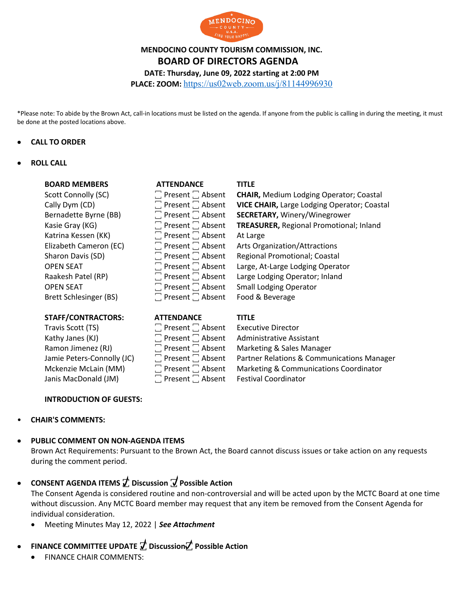

# **MENDOCINO COUNTY TOURISM COMMISSION, INC. BOARD OF DIRECTORS AGENDA**

**DATE: Thursday, June 09, 2022 starting at 2:00 PM**

**PLACE: ZOOM:** https://us02web.zoom.us/j/81144996930

\*Please note: To abide by the Brown Act, call-in locations must be listed on the agenda. If anyone from the public is calling in during the meeting, it must be done at the posted locations above.

#### • **CALL TO ORDER**

#### • **ROLL CALL**

| <b>BOARD MEMBERS</b>          | <b>ATTENDANCE</b>            | <b>TITLE</b>                                   |
|-------------------------------|------------------------------|------------------------------------------------|
| Scott Connolly (SC)           | $\Box$ Present $\Box$ Absent | <b>CHAIR, Medium Lodging Operator; Coastal</b> |
| Cally Dym (CD)                | $\Box$ Present $\Box$ Absent | VICE CHAIR, Large Lodging Operator; Coastal    |
| Bernadette Byrne (BB)         | $\Box$ Present $\Box$ Absent | <b>SECRETARY, Winery/Winegrower</b>            |
| Kasie Gray (KG)               | $\Box$ Present $\Box$ Absent | TREASURER, Regional Promotional; Inland        |
| Katrina Kessen (KK)           | $\Box$ Present $\Box$ Absent | At Large                                       |
| Elizabeth Cameron (EC)        | $\Box$ Present $\Box$ Absent | Arts Organization/Attractions                  |
| Sharon Davis (SD)             | $\Box$ Present $\Box$ Absent | <b>Regional Promotional; Coastal</b>           |
| <b>OPEN SEAT</b>              | $\Box$ Present $\Box$ Absent | Large, At-Large Lodging Operator               |
| Raakesh Patel (RP)            | $\Box$ Present $\Box$ Absent | Large Lodging Operator; Inland                 |
| <b>OPEN SEAT</b>              | $\Box$ Present $\Box$ Absent | <b>Small Lodging Operator</b>                  |
| <b>Brett Schlesinger (BS)</b> | $\Box$ Present $\Box$ Absent | Food & Beverage                                |
|                               |                              |                                                |

### **STAFF/CONTRACTORS: ATTENDANCE TITLE**

Travis Scott (TS) ꙱ Present ꙱ Absent Executive Director Kathy Janes (KJ)  $\Box$  Present  $\Box$  Absent Administrative Assistant Janis MacDonald (JM)  $\Box$  Present  $\Box$  Absent Festival Coordinator

| LIVPAIV                            |
|------------------------------------|
| $\square$ Present $\square$ Absent |
| $\square$ Present $\square$ Absent |
| $\square$ Present $\square$ Absent |
| $\square$ Present $\square$ Absent |
| $\square$ Present $\square$ Absent |
| Present <sup>7</sup> Absent        |

Ramon Jimenez (RJ) **Fig. 2.** Present  $\Box$  Absent Marketing & Sales Manager Jamie Peters-Connolly (JC)  $\Box$  Present  $\Box$  Absent Partner Relations & Communications Manager Mckenzie McLain (MM) **The Present**  Narketing & Communications Coordinator

### **INTRODUCTION OF GUESTS:**

### • **CHAIR'S COMMENTS:**

#### • **PUBLIC COMMENT ON NON-AGENDA ITEMS**

Brown Act Requirements: Pursuant to the Brown Act, the Board cannot discuss issues or take action on any requests during the comment period.

• **CONSENT AGENDA ITEMS ꙱ Discussion ꙱ Possible Action**

The Consent Agenda is considered routine and non-controversial and will be acted upon by the MCTC Board at one time without discussion. Any MCTC Board member may request that any item be removed from the Consent Agenda for individual consideration.

• Meeting Minutes May 12, 2022 | *See Attachment*

## **• FINANCE COMMITTEE UPDATE**  $\vec{\mathcal{T}}$  **Discussion** $\vec{\mathcal{T}}$  **Possible Action**

• FINANCE CHAIR COMMENTS: